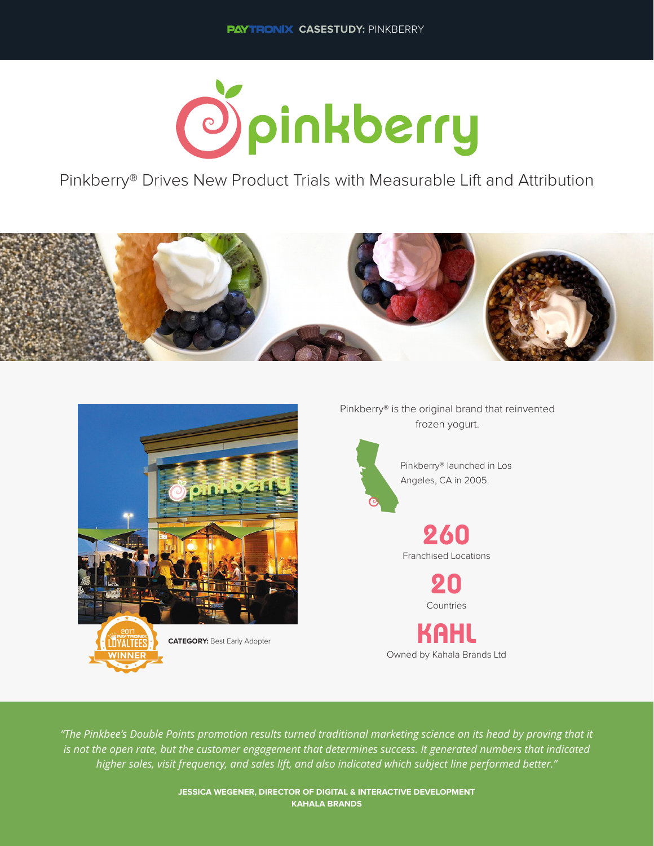

Pinkberry® Drives New Product Trials with Measurable Lift and Attribution





Pinkberry® is the original brand that reinvented frozen yogurt.



Pinkberry® launched in Los Angeles, CA in 2005.

**260** Franchised Locations

> **20** Countries

**KAHL** Owned by Kahala Brands Ltd

*"The Pinkbee's Double Points promotion results turned traditional marketing science on its head by proving that it is not the open rate, but the customer engagement that determines success. It generated numbers that indicated higher sales, visit frequency, and sales lift, and also indicated which subject line performed better."*

> **JESSICA WEGENER, DIRECTOR OF DIGITAL & INTERACTIVE DEVELOPMENT KAHALA BRANDS**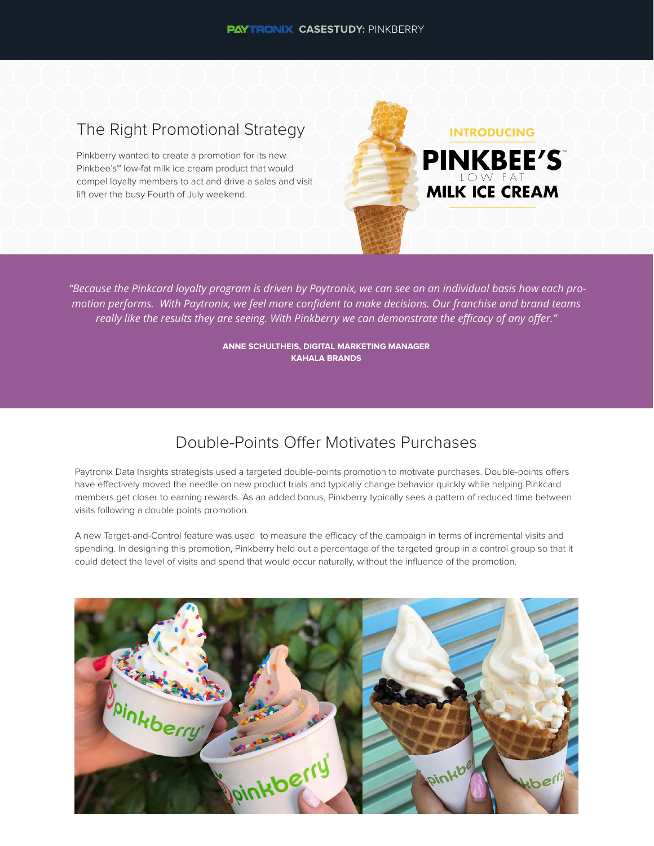## The Right Promotional Strategy

Pinkberry wanted to create a promotion for its new Pinkbee's™ low-fat milk ice cream product that would compel loyalty members to act and drive a sales and visit lift over the busy Fourth of July weekend.



 *"Because the Pinkcard loyalty program is driven by Paytronix, we can see on an individual basis how each promotion performs. With Paytronix, we feel more confident to make decisions. Our franchise and brand teams really like the results they are seeing. With Pinkberry we can demonstrate the efficacy of any offer."*

> **ANNE SCHULTHEIS, DIGITAL MARKETING MANAGER KAHALA BRANDS**

## Double-Points Offer Motivates Purchases

Paytronix Data Insights strategists used a targeted double-points promotion to motivate purchases. Double-points offers have effectively moved the needle on new product trials and typically change behavior quickly while helping Pinkcard members get closer to earning rewards. As an added bonus, Pinkberry typically sees a pattern of reduced time between visits following a double points promotion.

A new Target-and-Control feature was used to measure the efficacy of the campaign in terms of incremental visits and spending. In designing this promotion, Pinkberry held out a percentage of the targeted group in a control group so that it could detect the level of visits and spend that would occur naturally, without the influence of the promotion.